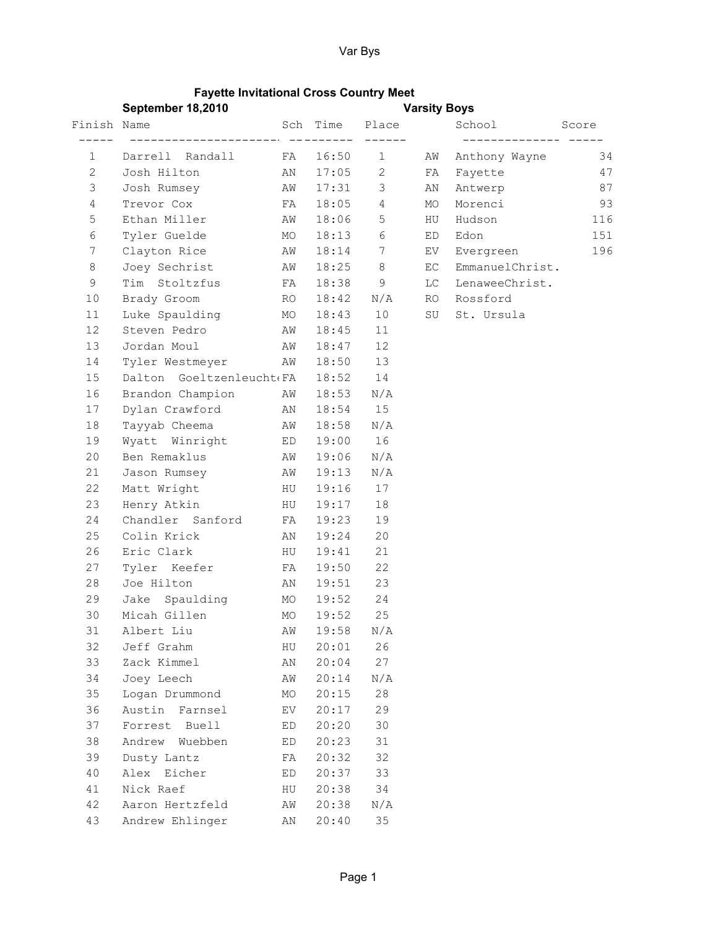## Fayette Invitational Cross Country Meet

|                | September 18,2010        |    |                     | <b>Varsity Boys</b> |    |                 |       |
|----------------|--------------------------|----|---------------------|---------------------|----|-----------------|-------|
| Finish Name    |                          |    | Sch Time            | Place               |    | School          | Score |
| 1              | Darrell Randall          | FA | ----------<br>16:50 | $\mathbf{1}$        | AW | Anthony Wayne   | 34    |
| $\mathbf{2}$   | Josh Hilton              | AN | 17:05               | 2                   | FA | Fayette         | 47    |
| $\mathsf 3$    | Josh Rumsey              | AW | 17:31               | 3                   | AN | Antwerp         | 87    |
| 4              | Trevor Cox               | FA | 18:05               | 4                   | MO | Morenci         | 93    |
| $\mathsf S$    | Ethan Miller             | AW | 18:06               | 5                   | HU | Hudson          | 116   |
| 6              | Tyler Guelde             | MO | 18:13               | 6                   | ED | Edon            | 151   |
| $\overline{7}$ | Clayton Rice             | AW | 18:14               | $7\phantom{.0}$     | EV | Evergreen       | 196   |
| $\,8\,$        | Joey Sechrist            | AW | 18:25               | 8                   | EC | EmmanuelChrist. |       |
| $\mathsf 9$    | Tim Stoltzfus            | FA | 18:38               | 9                   | LC | LenaweeChrist.  |       |
| 10             | Brady Groom              | RO | 18:42               | N/A                 | RO | Rossford        |       |
| 11             | Luke Spaulding           | MO | 18:43               | 10                  | SU | St. Ursula      |       |
| 12             | Steven Pedro             | AW | 18:45               | 11                  |    |                 |       |
| 13             | Jordan Moul              | AW | 18:47               | 12                  |    |                 |       |
| 14             | Tyler Westmeyer          | AW | 18:50               | 13                  |    |                 |       |
| 15             | Dalton Goeltzenleucht(FA |    | 18:52               | 14                  |    |                 |       |
| 16             | Brandon Champion         | AW | 18:53               | N/A                 |    |                 |       |
| 17             | Dylan Crawford           | AN | 18:54               | 15                  |    |                 |       |
| 18             | Tayyab Cheema            | AW | 18:58               | N/A                 |    |                 |       |
| 19             | Wyatt Winright ED        |    | 19:00               | 16                  |    |                 |       |
| 20             | Ben Remaklus             | AW | 19:06               | N/A                 |    |                 |       |
| 21             | Jason Rumsey             | AW | 19:13               | N/A                 |    |                 |       |
| 22             | Matt Wright              | HU | 19:16               | 17                  |    |                 |       |
| 23             | Henry Atkin              | HU | 19:17               | 18                  |    |                 |       |
| 24             | Chandler Sanford         | FA | 19:23               | 19                  |    |                 |       |
| 25             | Colin Krick              | AN | 19:24               | 20                  |    |                 |       |
| 26             | Eric Clark               | HU | 19:41               | 21                  |    |                 |       |
| 27             | Tyler Keefer             | FA | 19:50               | 22                  |    |                 |       |
| 28             | Joe Hilton               | ΑN | 19:51               | 23                  |    |                 |       |
| 29             | Jake Spaulding           | MO | 19:52               | 24                  |    |                 |       |
| 30             | Micah Gillen             | MO | 19:52               | 25                  |    |                 |       |
| 31             | Albert Liu               | AW | $19:58$ N/A         |                     |    |                 |       |
| 32             | Jeff Grahm               | HU | 20:01               | 26                  |    |                 |       |
| 33             | Zack Kimmel              | ΑN | 20:04               | 27                  |    |                 |       |
| 34             | Joey Leech               | AW | 20:14               | N/A                 |    |                 |       |
| 35             | Logan Drummond           | МO | 20:15               | 28                  |    |                 |       |
| 36             | Austin Farnsel           | EV | 20:17               | 29                  |    |                 |       |
| 37             | Forrest Buell            | ED | 20:20               | 30                  |    |                 |       |
| 38             | Andrew Wuebben           | ED | 20:23               | 31                  |    |                 |       |
| 39             | Dusty Lantz              | FA | 20:32               | 32                  |    |                 |       |
| 40             | Alex Eicher              | ED | 20:37               | 33                  |    |                 |       |
| 41             | Nick Raef                | HU | 20:38               | 34                  |    |                 |       |
| 42             | Aaron Hertzfeld          | AW | 20:38               | N/A                 |    |                 |       |
| 43             | Andrew Ehlinger          | ΑN | 20:40               | 35                  |    |                 |       |